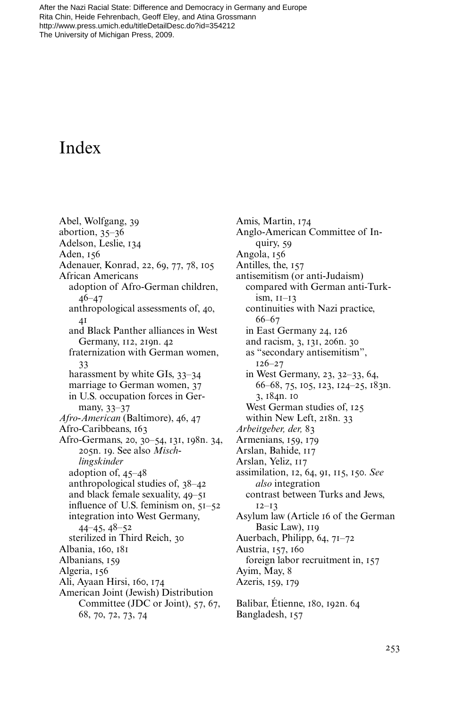## Index

Abel, Wolfgang, 39 abortion, 35–36 Adelson, Leslie, 134 Aden, 156 Adenauer, Konrad, 22, 69, 77, 78, 105 African Americans adoption of Afro-German children, 46–47 anthropological assessments of, 40,  $\overline{A}$ <sup>1</sup> and Black Panther alliances in West Germany, 112, 219n. 42 fraternization with German women, 33 harassment by white GIs, 33–34 marriage to German women, 37 in U.S. occupation forces in Germany, 33–37 *Afro-American* (Baltimore), 46, 47 Afro-Caribbeans, 163 Afro-Germans, 20, 30–54, 131, 198n. 34, 205n. 19. See also *Mischlingskinder* adoption of, 45–48 anthropological studies of, 38–42 and black female sexuality, 49–51 influence of U.S. feminism on,  $5I-52$ integration into West Germany, 44–45, 48–52 sterilized in Third Reich, 30 Albania, 160, 181 Albanians, 159 Algeria, 156 Ali, Ayaan Hirsi, 160, 174 American Joint (Jewish) Distribution Committee (JDC or Joint), 57, 67, 68, 70, 72, 73, 74

Amis, Martin, 174 Anglo-American Committee of Inquiry, 59 Angola, 156 Antilles, the, 157 antisemitism (or anti-Judaism) compared with German anti-Turkism, 11–13 continuities with Nazi practice, 66–67 in East Germany 24, 126 and racism, 3, 131, 206n. 30 as "secondary antisemitism", 126–27 in West Germany, 23, 32–33, 64, 66–68, 75, 105, 123, 124–25, 183n. 3, 184n. 10 West German studies of, 125 within New Left, 218n. 33 *Arbeitgeber, der,* 83 Armenians, 159, 179 Arslan, Bahide, 117 Arslan, Yeliz, 117 assimilation, 12, 64, 91, 115, 150. *See also* integration contrast between Turks and Jews, 12–13 Asylum law (Article 16 of the German Basic Law), 119 Auerbach, Philipp, 64, 71–72 Austria, 157, 160 foreign labor recruitment in, 157 Ayim, May, 8 Azeris, 159, 179 Balibar, Étienne, 180, 192n. 64

Bangladesh, 157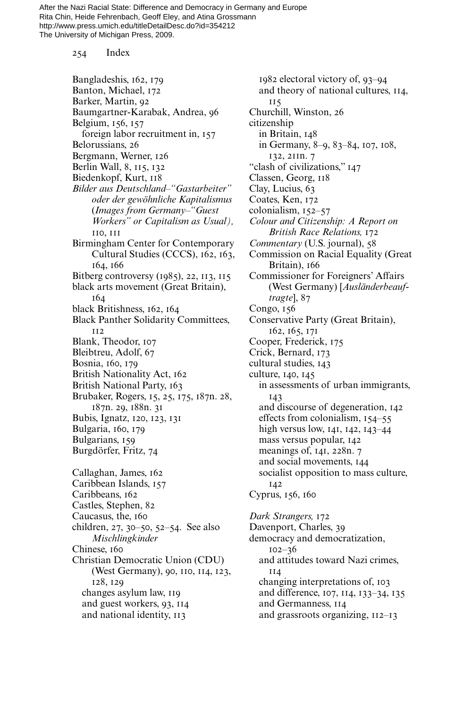254 Index

Bangladeshis, 162, 179 Banton, Michael, 172 Barker, Martin, 92 Baumgartner-Karabak, Andrea, 96 Belgium, 156, 157 foreign labor recruitment in, 157 Belorussians, 26 Bergmann, Werner, 126 Berlin Wall, 8, 115, 132 Biedenkopf, Kurt, 118 *Bilder aus Deutschland–"Gastarbeiter" oder der gewöhnliche Kapitalismus* (*Images from Germany–"Guest Workers" or Capitalism as Usual),* 110, 111 Birmingham Center for Contemporary Cultural Studies (CCCS), 162, 163, 164, 166 Bitberg controversy (1985), 22, 113, 115 black arts movement (Great Britain), 164 black Britishness, 162, 164 Black Panther Solidarity Committees, 112 Blank, Theodor, 107 Bleibtreu, Adolf, 67 Bosnia, 160, 179 British Nationality Act, 162 British National Party, 163 Brubaker, Rogers, 15, 25, 175, 187n. 28, 187n. 29, 188n. 31 Bubis, Ignatz, 120, 123, 131 Bulgaria, 160, 179 Bulgarians, 159 Burgdörfer, Fritz, 74 Callaghan, James, 162 Caribbean Islands, 157 Caribbeans, 162 Castles, Stephen, 82 Caucasus, the, 160 children, 27, 30–50, 52–54. See also *Mischlingkinder* Chinese, 160 Christian Democratic Union (CDU) (West Germany), 90, 110, 114, 123, 128, 129 changes asylum law, 119 and guest workers, 93, 114 and national identity, 113

1982 electoral victory of, 93–94 and theory of national cultures, 114, 115 Churchill, Winston, 26 citizenship in Britain, 148 in Germany, 8–9, 83–84, 107, 108, 132, 211n. 7 "clash of civilizations," 147 Classen, Georg, 118 Clay, Lucius, 63 Coates, Ken, 172 colonialism, 152–57 *Colour and Citizenship: A Report on British Race Relations,* 172 *Commentary* (U.S. journal), 58 Commission on Racial Equality (Great Britain), 166 Commissioner for Foreigners' Affairs (West Germany) [*Ausländerbeauftragte*], 87 Congo, 156 Conservative Party (Great Britain), 162, 165, 171 Cooper, Frederick, 175 Crick, Bernard, 173 cultural studies, 143 culture, 140, 145 in assessments of urban immigrants, 143 and discourse of degeneration, 142 effects from colonialism, 154–55 high versus low, 141, 142, 143–44 mass versus popular, 142 meanings of, 141, 228n. 7 and social movements, 144 socialist opposition to mass culture, 142 Cyprus, 156, 160 *Dark Strangers,* 172 Davenport, Charles, 39 democracy and democratization, 102–36 and attitudes toward Nazi crimes, 114 changing interpretations of, 103 and difference, 107, 114, 133–34, 135 and Germanness, 114

and grassroots organizing, 112–13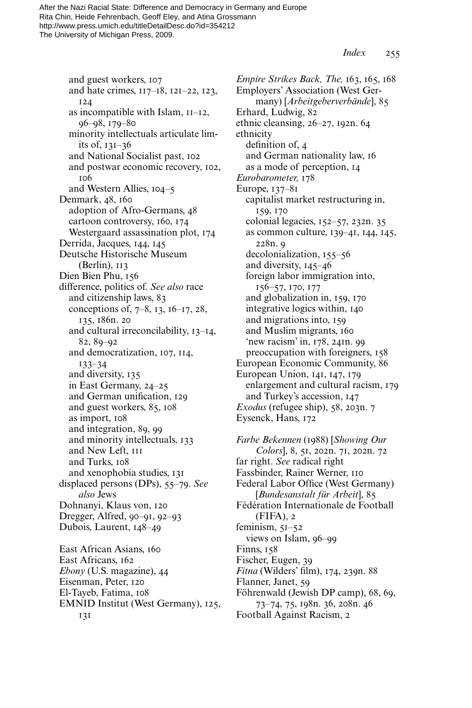*Index* 255

and guest workers, 107 and hate crimes, 117–18, 121–22, 123, 124 as incompatible with Islam, 11–12, 96–98, 179–80 minority intellectuals articulate limits of, 131–36 and National Socialist past, 102 and postwar economic recovery, 102, 106 and Western Allies, 104–5 Denmark, 48, 160 adoption of Afro-Germans, 48 cartoon controversy, 160, 174 Westergaard assassination plot, 174 Derrida, Jacques, 144, 145 Deutsche Historische Museum (Berlin), 113 Dien Bien Phu, 156 difference, politics of. *See also* race and citizenship laws, 83 conceptions of, 7–8, 13, 16–17, 28, 135, 186n. 20 and cultural irreconcilability, 13–14, 82, 89–92 and democratization, 107, 114, 133–34 and diversity, 135 in East Germany, 24–25 and German unification, 129 and guest workers, 85, 108 as import, 108 and integration, 89, 99 and minority intellectuals, 133 and New Left, 111 and Turks, 108 and xenophobia studies, 131 displaced persons (DPs), 55–79. *See also* Jews Dohnanyi, Klaus von, 120 Dregger, Alfred, 90–91, 92–93 Dubois, Laurent, 148–49 East African Asians, 160 East Africans, 162 *Ebony* (U.S. magazine), 44 Eisenman, Peter, 120 El-Tayeb, Fatima, 108 EMNID Institut (West Germany), 125,

131

*Empire Strikes Back, The,* 163, 165, 168 Employers' Association (West Germany) [*Arbeitgeberverbände*], 85 Erhard, Ludwig, 82 ethnic cleansing, 26–27, 192n. 64 ethnicity definition of,  $4$ and German nationality law, 16 as a mode of perception, 14 *Eurobarometer,* 178 Europe, 137–81 capitalist market restructuring in, 159, 170 colonial legacies, 152–57, 232n. 35 as common culture, 139–41, 144, 145, 228n. 9 decolonialization, 155–56 and diversity, 145–46 foreign labor immigration into, 156–57, 170, 177 and globalization in, 159, 170 integrative logics within, 140 and migrations into, 159 and Muslim migrants, 160 'new racism' in, 178, 241n. 99 preoccupation with foreigners, 158 European Economic Community, 86 European Union, 141, 147, 179 enlargement and cultural racism, 179 and Turkey's accession, 147 *Exodus* (refugee ship), 58, 203n. 7 Eysenck, Hans, 172

*Farbe Bekennen* (1988) [*Showing Our Colors*], 8, 51, 202n. 71, 202n. 72 far right. *See* radical right Fassbinder, Rainer Werner, 110 Federal Labor Office (West Germany) [*Bundesanstalt für Arbeit*], 85 Fédération Internationale de Football (FIFA), 2 feminism, 51–52 views on Islam, 96–99 Finns, 158 Fischer, Eugen, 39 *Fitna* (Wilders' film), 174, 239n. 88 Flanner, Janet, 59 Föhrenwald (Jewish DP camp), 68, 69, 73–74, 75, 198n. 36, 208n. 46 Football Against Racism, 2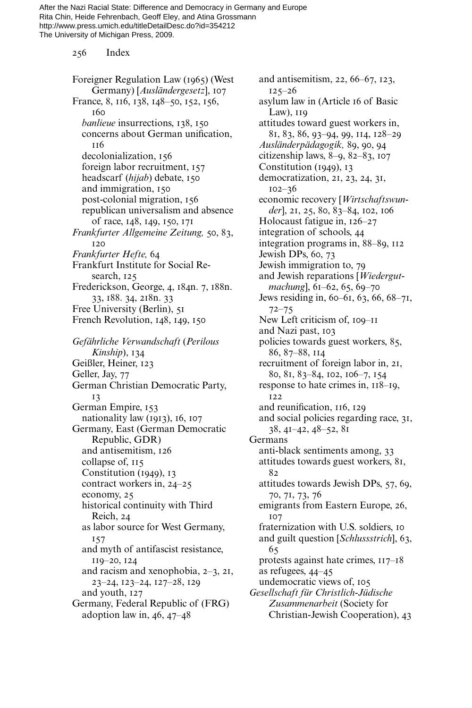256 Index

Foreigner Regulation Law (1965) (West Germany) [*Ausländergesetz*], 107 France, 8, 116, 138, 148–50, 152, 156, 160 *banlieue* insurrections, 138, 150 concerns about German unification, 116 decolonialization, 156 foreign labor recruitment, 157 headscarf (*hijab*) debate, 150 and immigration, 150 post-colonial migration, 156 republican universalism and absence of race, 148, 149, 150, 171 *Frankfurter Allgemeine Zeitung,* 50, 83, 120 *Frankfurter Hefte,* 64 Frankfurt Institute for Social Research, 125 Frederickson, George, 4, 184n. 7, 188n. 33, 188. 34, 218n. 33 Free University (Berlin), 51 French Revolution, 148, 149, 150 *Gefährliche Verwandschaft* (*Perilous Kinship*), 134 Geißler, Heiner, 123 Geller, Jay, 77 German Christian Democratic Party, 13 German Empire, 153 nationality law (1913), 16, 107 Germany, East (German Democratic Republic, GDR) and antisemitism, 126 collapse of, 115 Constitution (1949), 13 contract workers in, 24–25 economy, 25 historical continuity with Third Reich, 24 as labor source for West Germany, 157 and myth of antifascist resistance, 119–20, 124 and racism and xenophobia, 2–3, 21, 23–24, 123–24, 127–28, 129 and youth, 127 Germany, Federal Republic of (FRG) adoption law in,  $46, 47-48$ 

and antisemitism, 22, 66–67, 123,  $125 - 26$ asylum law in (Article 16 of Basic Law), 119 attitudes toward guest workers in, 81, 83, 86, 93–94, 99, 114, 128–29 *Ausländerpädagogik,* 89, 90, 94 citizenship laws, 8–9, 82–83, 107 Constitution (1949), 13 democratization, 21, 23, 24, 31, 102–36 economic recovery [*Wirtschaftswun*der], 21, 25, 80, 83-84, 102, 106 Holocaust fatigue in, 126–27 integration of schools, 44 integration programs in, 88–89, 112 Jewish DPs, 60, 73 Jewish immigration to, 79 and Jewish reparations [*Wiedergutmachung*], 61–62, 65, 69–70 Jews residing in, 60–61, 63, 66, 68–71, 72–75 New Left criticism of, 109–11 and Nazi past, 103 policies towards guest workers, 85, 86, 87–88, 114 recruitment of foreign labor in, 21, 80, 81, 83–84, 102, 106–7, 154 response to hate crimes in, 118–19, 122 and reunification, 116, 129 and social policies regarding race, 31, 38, 41–42, 48–52, 81 Germans anti-black sentiments among, 33 attitudes towards guest workers, 81, 82 attitudes towards Jewish DPs, 57, 69, 70, 71, 73, 76 emigrants from Eastern Europe, 26, 107 fraternization with U.S. soldiers, 10 and guilt question [*Schlussstrich*], 63, 65 protests against hate crimes, 117–18 as refugees, 44–45 undemocratic views of, 105 *Gesellschaft für Christlich-Jüdische Zusammenarbeit* (Society for Christian-Jewish Cooperation), 43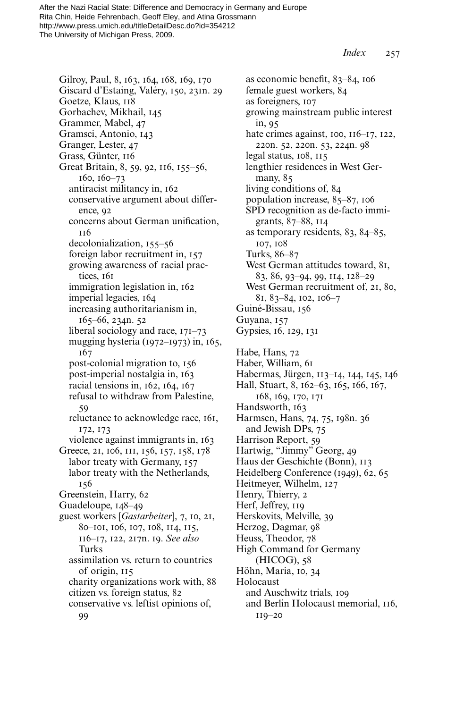*Index* 257

Gilroy, Paul, 8, 163, 164, 168, 169, 170 Giscard d'Estaing, Valéry, 150, 231n. 29 Goetze, Klaus, 118 Gorbachev, Mikhail, 145 Grammer, Mabel, 47 Gramsci, Antonio, 143 Granger, Lester, 47 Grass, Günter, 116 Great Britain, 8, 59, 92, 116, 155–56, 160, 160–73 antiracist militancy in, 162 conservative argument about difference, 92 concerns about German unification, 116 decolonialization, 155–56 foreign labor recruitment in, 157 growing awareness of racial practices, 161 immigration legislation in, 162 imperial legacies, 164 increasing authoritarianism in, 165–66, 234n. 52 liberal sociology and race, 171–73 mugging hysteria (1972–1973) in, 165, 167 post-colonial migration to, 156 post-imperial nostalgia in, 163 racial tensions in, 162, 164, 167 refusal to withdraw from Palestine, 59 reluctance to acknowledge race, 161, 172, 173 violence against immigrants in, 163 Greece, 21, 106, 111, 156, 157, 158, 178 labor treaty with Germany, 157 labor treaty with the Netherlands, 156 Greenstein, Harry, 62 Guadeloupe, 148–49 guest workers [*Gastarbeiter*], 7, 10, 21, 80–101, 106, 107, 108, 114, 115, 116–17, 122, 217n. 19. *See also* Turks assimilation vs. return to countries of origin, 115 charity organizations work with, 88 citizen vs. foreign status, 82 conservative vs. leftist opinions of,

99

as economic benefit,  $83-84$ , 106 female guest workers, 84 as foreigners, 107 growing mainstream public interest in, 95 hate crimes against, 100, 116–17, 122, 220n. 52, 220n. 53, 224n. 98 legal status, 108, 115 lengthier residences in West Germany, 85 living conditions of, 84 population increase, 85–87, 106 SPD recognition as de-facto immigrants, 87–88, 114 as temporary residents, 83, 84–85, 107, 108 Turks, 86–87 West German attitudes toward, 81, 83, 86, 93–94, 99, 114, 128–29 West German recruitment of, 21, 80, 81, 83–84, 102, 106–7 Guiné-Bissau, 156 Guyana, 157 Gypsies, 16, 129, 131 Habe, Hans, 72 Haber, William, 61 Habermas, Jürgen, 113–14, 144, 145, 146 Hall, Stuart, 8, 162–63, 165, 166, 167, 168, 169, 170, 171 Handsworth, 163 Harmsen, Hans, 74, 75, 198n. 36 and Jewish DPs, 75 Harrison Report, 59 Hartwig, "Jimmy" Georg, 49 Haus der Geschichte (Bonn), 113 Heidelberg Conference (1949), 62, 65 Heitmeyer, Wilhelm, 127 Henry, Thierry, 2 Herf, Jeffrey, 119 Herskovits, Melville, 39 Herzog, Dagmar, 98 Heuss, Theodor, 78 High Command for Germany (HICOG), 58 Höhn, Maria, 10, 34 Holocaust and Auschwitz trials, 109 and Berlin Holocaust memorial, 116,

119–20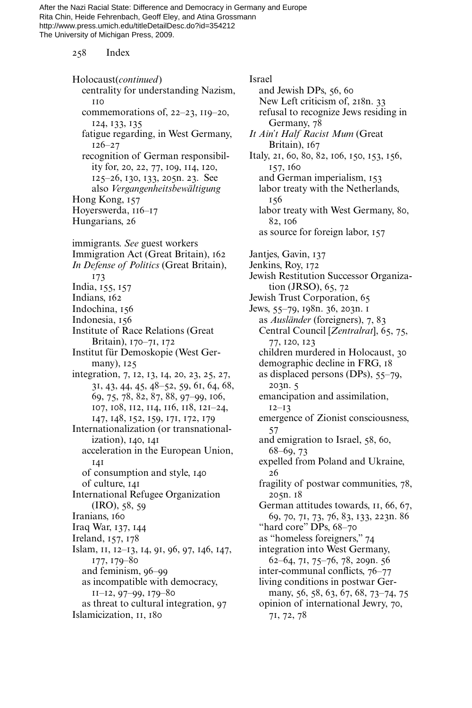258 Index

Holocaust(*continued*) centrality for understanding Nazism, 110 commemorations of, 22–23, 119–20, 124, 133, 135 fatigue regarding, in West Germany, 126–27 recognition of German responsibility for, 20, 22, 77, 109, 114, 120, 125–26, 130, 133, 205n. 23. See also *Vergangenheitsbewältigung* Hong Kong, 157 Hoyerswerda, 116–17 Hungarians, 26 immigrants. *See* guest workers Immigration Act (Great Britain), 162 *In Defense of Politics* (Great Britain), 173 India, 155, 157 Indians, 162 Indochina, 156 Indonesia, 156 Institute of Race Relations (Great Britain), 170–71, 172 Institut für Demoskopie (West Germany), 125 integration, 7, 12, 13, 14, 20, 23, 25, 27, 31, 43, 44, 45, 48–52, 59, 61, 64, 68, 69, 75, 78, 82, 87, 88, 97–99, 106, 107, 108, 112, 114, 116, 118, 121–24, 147, 148, 152, 159, 171, 172, 179 Internationalization (or transnationalization), 140, 141 acceleration in the European Union, 141 of consumption and style, 140 of culture, 141 International Refugee Organization (IRO), 58, 59 Iranians, 160 Iraq War, 137, 144 Ireland, 157, 178 Islam, 11, 12–13, 14, 91, 96, 97, 146, 147, 177, 179–80 and feminism, 96–99 as incompatible with democracy, 11–12, 97–99, 179–80 as threat to cultural integration, 97 Islamicization, 11, 180

Israel and Jewish DPs, 56, 60 New Left criticism of, 218n. 33 refusal to recognize Jews residing in Germany, 78 *It Ain't Half Racist Mum* (Great Britain), 167 Italy, 21, 60, 80, 82, 106, 150, 153, 156, 157, 160 and German imperialism, 153 labor treaty with the Netherlands, 156 labor treaty with West Germany, 80, 82, 106 as source for foreign labor, 157 Jantjes, Gavin, 137 Jenkins, Roy, 172 Jewish Restitution Successor Organization (JRSO), 65, 72 Jewish Trust Corporation, 65 Jews, 55–79, 198n. 36, 203n. 1 as *Ausländer* (foreigners), 7, 83 Central Council [*Zentralrat*], 65, 75, 77, 120, 123 children murdered in Holocaust, 30 demographic decline in FRG, 18 as displaced persons (DPs), 55–79, 203n. 5 emancipation and assimilation, 12–13 emergence of Zionist consciousness, 57 and emigration to Israel, 58, 60, 68–69, 73 expelled from Poland and Ukraine, 26 fragility of postwar communities, 78, 205n. 18 German attitudes towards, 11, 66, 67, 69, 70, 71, 73, 76, 83, 133, 223n. 86 "hard core" DPs, 68–70 as "homeless foreigners," 74 integration into West Germany, 62–64, 71, 75–76, 78, 209n. 56 inter-communal conflicts, 76–77 living conditions in postwar Germany, 56, 58, 63, 67, 68, 73-74, 75 opinion of international Jewry, 70, 71, 72, 78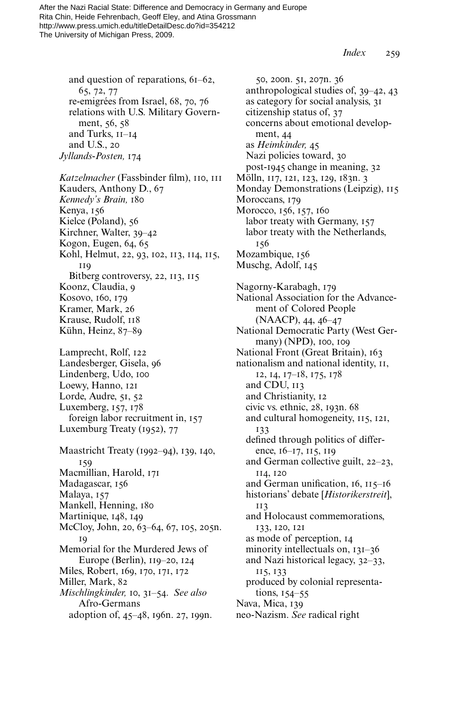*Index* 259

and question of reparations, 61–62, 65, 72, 77 re-emigrées from Israel, 68, 70, 76 relations with U.S. Military Government, 56, 58 and Turks, 11–14 and U.S., 20 *Jyllands-Posten,* 174

*Katzelmacher* (Fassbinder film), 110, 111 Kauders, Anthony D., 67 *Kennedy's Brain,* 180 Kenya, 156 Kielce (Poland), 56 Kirchner, Walter, 39–42 Kogon, Eugen, 64, 65 Kohl, Helmut, 22, 93, 102, 113, 114, 115, 119 Bitberg controversy, 22, 113, 115 Koonz, Claudia, 9 Kosovo, 160, 179 Kramer, Mark, 26 Krause, Rudolf, 118 Kühn, Heinz, 87–89 Lamprecht, Rolf, 122 Landesberger, Gisela, 96 Lindenberg, Udo, 100 Loewy, Hanno, 121 Lorde, Audre, 51, 52 Luxemberg, 157, 178 foreign labor recruitment in, 157 Luxemburg Treaty (1952), 77 Maastricht Treaty (1992–94), 139, 140, 159 Macmillian, Harold, 171 Madagascar, 156 Malaya, 157 Mankell, Henning, 180 Martinique, 148, 149 McCloy, John, 20, 63–64, 67, 105, 205n. 19 Memorial for the Murdered Jews of Europe (Berlin), 119–20, 124 Miles, Robert, 169, 170, 171, 172

Miller, Mark, 82 *Mischlingkinder,* 10, 31–54. *See also* Afro-Germans

adoption of, 45–48, 196n. 27, 199n.

50, 200n. 51, 207n. 36 anthropological studies of, 39–42, 43 as category for social analysis, 31 citizenship status of, 37 concerns about emotional development, 44 as *Heimkinder,* 45 Nazi policies toward, 30 post-1945 change in meaning, 32 Mölln, 117, 121, 123, 129, 183n. 3 Monday Demonstrations (Leipzig), 115 Moroccans, 179 Morocco, 156, 157, 160 labor treaty with Germany, 157 labor treaty with the Netherlands, 156 Mozambique, 156 Muschg, Adolf, 145 Nagorny-Karabagh, 179 National Association for the Advancement of Colored People (NAACP), 44, 46–47 National Democratic Party (West Germany) (NPD), 100, 109 National Front (Great Britain), 163 nationalism and national identity, 11, 12, 14, 17–18, 175, 178 and CDU, 113 and Christianity, 12 civic vs. ethnic, 28, 193n. 68 and cultural homogeneity, 115, 121, 133 defined through politics of difference, 16–17, 115, 119 and German collective guilt, 22–23, 114, 120 and German unification,  $16$ ,  $115-16$ historians' debate [*Historikerstreit*], 113 and Holocaust commemorations, 133, 120, 121 as mode of perception, 14 minority intellectuals on, 131–36 and Nazi historical legacy, 32–33, 115, 133 produced by colonial representations, 154–55 Nava, Mica, 139 neo-Nazism. *See* radical right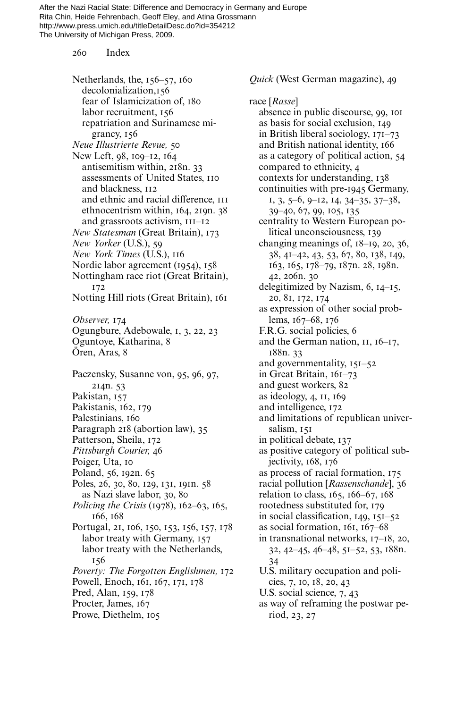260 Index

Netherlands, the, 156–57, 160 decolonialization,156 fear of Islamicization of, 180 labor recruitment, 156 repatriation and Surinamese migrancy, 156 *Neue Illustrierte Revue,* 50 New Left, 98, 109–12, 164 antisemitism within, 218n. 33 assessments of United States, 110 and blackness, 112 and ethnic and racial difference, 111 ethnocentrism within, 164, 219n. 38 and grassroots activism, 111–12 *New Statesman* (Great Britain), 173 *New Yorker* (U.S.), 59 *New York Times* (U.S.), 116 Nordic labor agreement (1954), 158 Nottingham race riot (Great Britain), 172 Notting Hill riots (Great Britain), 161 *Observer,* 174 Ogungbure, Adebowale, 1, 3, 22, 23 Oguntoye, Katharina, 8 Ören, Aras, 8 Paczensky, Susanne von, 95, 96, 97, 214n. 53 Pakistan, 157 Pakistanis, 162, 179 Palestinians, 160 Paragraph 218 (abortion law), 35 Patterson, Sheila, 172 *Pittsburgh Courier,* 46 Poiger, Uta, 10 Poland, 56, 192n. 65 Poles, 26, 30, 80, 129, 131, 191n. 58 as Nazi slave labor, 30, 80 *Policing the Crisis* (1978), 162–63, 165, 166, 168 Portugal, 21, 106, 150, 153, 156, 157, 178 labor treaty with Germany, 157 labor treaty with the Netherlands, 156 *Poverty: The Forgotten Englishmen,* 172 Powell, Enoch, 161, 167, 171, 178 Pred, Alan, 159, 178 Procter, James, 167 Prowe, Diethelm, 105

*Quick* (West German magazine), 49

race [*Rasse*] absence in public discourse, 99, 101 as basis for social exclusion, 149 in British liberal sociology, 171–73 and British national identity, 166 as a category of political action, 54 compared to ethnicity, 4 contexts for understanding, 138 continuities with pre-1945 Germany, 1, 3, 5–6, 9–12, 14, 34–35, 37–38, 39–40, 67, 99, 105, 135 centrality to Western European political unconsciousness, 139 changing meanings of, 18–19, 20, 36, 38, 41–42, 43, 53, 67, 80, 138, 149, 163, 165, 178–79, 187n. 28, 198n. 42, 206n. 30 delegitimized by Nazism, 6, 14–15, 20, 81, 172, 174 as expression of other social problems, 167–68, 176 F.R.G. social policies, 6 and the German nation, 11, 16–17, 188n. 33 and governmentality, 151–52 in Great Britain, 161–73 and guest workers, 82 as ideology, 4, 11, 169 and intelligence, 172 and limitations of republican universalism, 151 in political debate, 137 as positive category of political subjectivity, 168, 176 as process of racial formation, 175 racial pollution [*Rassenschande*], 36 relation to class, 165, 166–67, 168 rootedness substituted for, 179 in social classification,  $149, 151-52$ as social formation, 161, 167–68 in transnational networks, 17–18, 20, 32, 42–45, 46–48, 51–52, 53, 188n. 34 U.S. military occupation and policies, 7, 10, 18, 20, 43 U.S. social science, 7, 43 as way of reframing the postwar period, 23, 27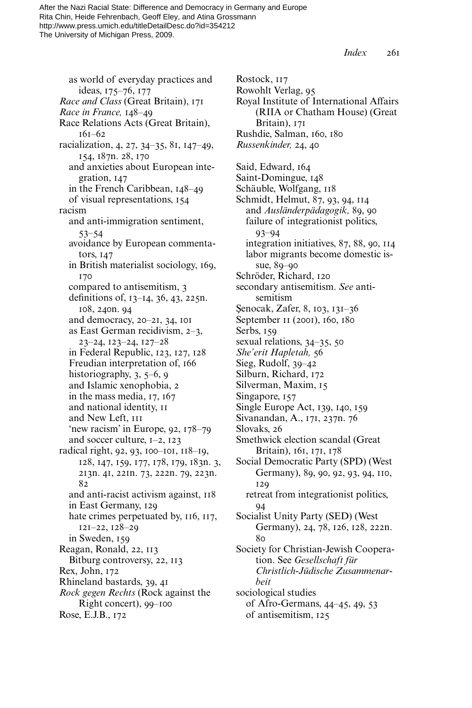Rostock, 117

*Index* 261

as world of everyday practices and ideas, 175–76, 177 *Race and Class* (Great Britain), 171 *Race in France,* 148–49 Race Relations Acts (Great Britain), 161–62 racialization, 4, 27, 34–35, 81, 147–49, 154, 187n. 28, 170 and anxieties about European integration, 147 in the French Caribbean, 148–49 of visual representations, 154 racism and anti-immigration sentiment, 53–54 avoidance by European commentators, 147 in British materialist sociology, 169, 170 compared to antisemitism, 3 definitions of,  $13-14$ ,  $36$ ,  $43$ ,  $225n$ . 108, 240n. 94 and democracy, 20–21, 34, 101 as East German recidivism, 2–3, 23–24, 123–24, 127–28 in Federal Republic, 123, 127, 128 Freudian interpretation of, 166 historiography, 3, 5–6, 9 and Islamic xenophobia, 2 in the mass media, 17, 167 and national identity, 11 and New Left, 111 'new racism' in Europe, 92, 178–79 and soccer culture, 1–2, 123 radical right, 92, 93, 100–101, 118–19, 128, 147, 159, 177, 178, 179, 183n. 3, 213n. 41, 221n. 73, 222n. 79, 223n. 82 and anti-racist activism against, 118 in East Germany, 129 hate crimes perpetuated by,  $116$ ,  $117$ , 121–22, 128–29 in Sweden, 159 Reagan, Ronald, 22, 113 Bitburg controversy, 22, 113 Rex, John, 172 Rhineland bastards, 39, 41 *Rock gegen Rechts* (Rock against the Right concert), 99–100 Rose, E.J.B., 172

Rowohlt Verlag, 95 Royal Institute of International Affairs (RIIA or Chatham House) (Great Britain), 171 Rushdie, Salman, 160, 180 *Russenkinder,* 24, 40 Said, Edward, 164 Saint-Domingue, 148 Schäuble, Wolfgang, 118 Schmidt, Helmut, 87, 93, 94, 114 and *Ausländerpädagogik,* 89, 90 failure of integrationist politics, 93–94 integration initiatives, 87, 88, 90, 114 labor migrants become domestic issue, 89–90 Schröder, Richard, 120 secondary antisemitism. *See* antisemitism Şenocak, Zafer, 8, 103, 131–36 September 11 (2001), 160, 180 Serbs, 159 sexual relations, 34–35, 50 *She'erit Hapletah,* 56 Sieg, Rudolf, 39–42 Silburn, Richard, 172 Silverman, Maxim, 15 Singapore, 157 Single Europe Act, 139, 140, 159 Sivanandan, A., 171, 237n. 76 Slovaks, 26 Smethwick election scandal (Great Britain), 161, 171, 178 Social Democratic Party (SPD) (West Germany), 89, 90, 92, 93, 94, 110, 129 retreat from integrationist politics, 94 Socialist Unity Party (SED) (West Germany), 24, 78, 126, 128, 222n. 80 Society for Christian-Jewish Cooperation. See *Gesellschaft für Christlich-Jüdische Zusammenarbeit* sociological studies of Afro-Germans, 44–45, 49, 53 of antisemitism, 125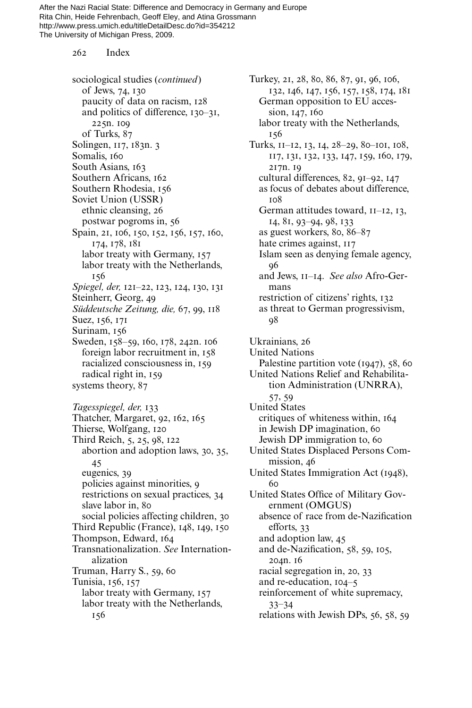262 Index

sociological studies (*continued*) of Jews, 74, 130 paucity of data on racism, 128 and politics of difference, 130–31, 225n. 109 of Turks, 87 Solingen, 117, 183n. 3 Somalis, 160 South Asians, 163 Southern Africans, 162 Southern Rhodesia, 156 Soviet Union (USSR) ethnic cleansing, 26 postwar pogroms in, 56 Spain, 21, 106, 150, 152, 156, 157, 160, 174, 178, 181 labor treaty with Germany, 157 labor treaty with the Netherlands, 156 *Spiegel, der,* 121–22, 123, 124, 130, 131 Steinherr, Georg, 49 *Süddeutsche Zeitung, die,* 67, 99, 118 Suez, 156, 171 Surinam, 156 Sweden, 158–59, 160, 178, 242n. 106 foreign labor recruitment in, 158 racialized consciousness in, 159 radical right in, 159 systems theory, 87 *Tagesspiegel, der,* 133 Thatcher, Margaret, 92, 162, 165 Thierse, Wolfgang, 120 Third Reich, 5, 25, 98, 122 abortion and adoption laws, 30, 35, 45 eugenics, 39 policies against minorities, 9 restrictions on sexual practices, 34 slave labor in, 80 social policies affecting children, 30 Third Republic (France), 148, 149, 150 Thompson, Edward, 164 Transnationalization. *See* Internationalization Truman, Harry S., 59, 60 Tunisia, 156, 157 labor treaty with Germany, 157 labor treaty with the Netherlands, 156

Turkey, 21, 28, 80, 86, 87, 91, 96, 106, 132, 146, 147, 156, 157, 158, 174, 181 German opposition to EU accession, 147, 160 labor treaty with the Netherlands, 156 Turks, 11–12, 13, 14, 28–29, 80–101, 108, 117, 131, 132, 133, 147, 159, 160, 179, 217n. 19 cultural differences, 82, 91–92, 147 as focus of debates about difference, 108 German attitudes toward, 11–12, 13, 14, 81, 93–94, 98, 133 as guest workers, 80, 86–87 hate crimes against, 117 Islam seen as denying female agency, 96 and Jews, 11–14. *See also* Afro-Germans restriction of citizens' rights, 132 as threat to German progressivism, 98 Ukrainians, 26 United Nations Palestine partition vote (1947), 58, 60 United Nations Relief and Rehabilitation Administration (UNRRA), 57, 59 United States critiques of whiteness within, 164 in Jewish DP imagination, 60 Jewish DP immigration to, 60 United States Displaced Persons Commission, 46 United States Immigration Act (1948), 60 United States Office of Military Government (OMGUS) absence of race from de-Nazification efforts, 33 and adoption law, 45 and de-Nazification, 58, 59, 105, 204n. 16 racial segregation in, 20, 33 and re-education, 104–5 reinforcement of white supremacy, 33–34 relations with Jewish DPs, 56, 58, 59